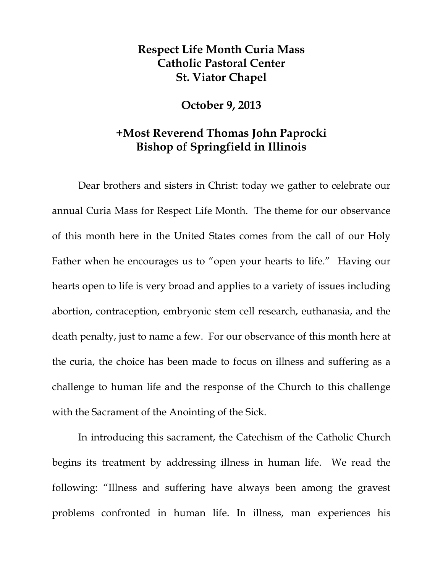## **Respect Life Month Curia Mass Catholic Pastoral Center St. Viator Chapel**

## **October 9, 2013**

## **+Most Reverend Thomas John Paprocki Bishop of Springfield in Illinois**

Dear brothers and sisters in Christ: today we gather to celebrate our annual Curia Mass for Respect Life Month. The theme for our observance of this month here in the United States comes from the call of our Holy Father when he encourages us to "open your hearts to life." Having our hearts open to life is very broad and applies to a variety of issues including abortion, contraception, embryonic stem cell research, euthanasia, and the death penalty, just to name a few. For our observance of this month here at the curia, the choice has been made to focus on illness and suffering as a challenge to human life and the response of the Church to this challenge with the Sacrament of the Anointing of the Sick.

 In introducing this sacrament, the Catechism of the Catholic Church begins its treatment by addressing illness in human life. We read the following: "Illness and suffering have always been among the gravest problems confronted in human life. In illness, man experiences his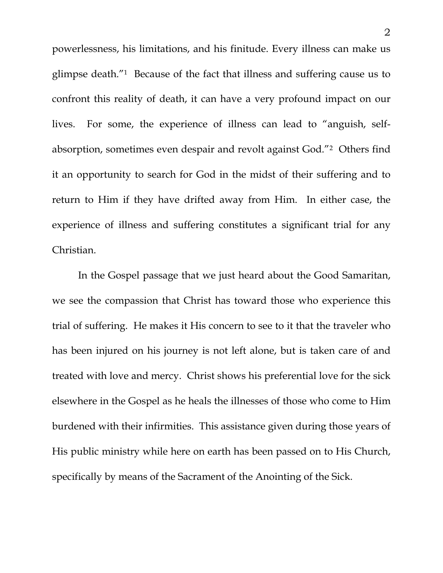powerlessness, his limitations, and his finitude. Every illness can make us glimpse death."1 Because of the fact that illness and suffering cause us to confront this reality of death, it can have a very profound impact on our lives. For some, the experience of illness can lead to "anguish, selfabsorption, sometimes even despair and revolt against God."2 Others find it an opportunity to search for God in the midst of their suffering and to return to Him if they have drifted away from Him. In either case, the experience of illness and suffering constitutes a significant trial for any Christian.

 In the Gospel passage that we just heard about the Good Samaritan, we see the compassion that Christ has toward those who experience this trial of suffering. He makes it His concern to see to it that the traveler who has been injured on his journey is not left alone, but is taken care of and treated with love and mercy. Christ shows his preferential love for the sick elsewhere in the Gospel as he heals the illnesses of those who come to Him burdened with their infirmities. This assistance given during those years of His public ministry while here on earth has been passed on to His Church, specifically by means of the Sacrament of the Anointing of the Sick.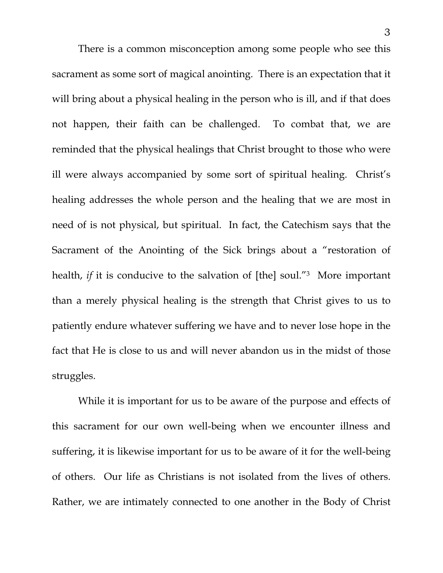There is a common misconception among some people who see this sacrament as some sort of magical anointing. There is an expectation that it will bring about a physical healing in the person who is ill, and if that does not happen, their faith can be challenged. To combat that, we are reminded that the physical healings that Christ brought to those who were ill were always accompanied by some sort of spiritual healing. Christ's healing addresses the whole person and the healing that we are most in need of is not physical, but spiritual. In fact, the Catechism says that the Sacrament of the Anointing of the Sick brings about a "restoration of health, *if* it is conducive to the salvation of [the] soul."3 More important than a merely physical healing is the strength that Christ gives to us to patiently endure whatever suffering we have and to never lose hope in the fact that He is close to us and will never abandon us in the midst of those struggles.

 While it is important for us to be aware of the purpose and effects of this sacrament for our own well-being when we encounter illness and suffering, it is likewise important for us to be aware of it for the well-being of others. Our life as Christians is not isolated from the lives of others. Rather, we are intimately connected to one another in the Body of Christ